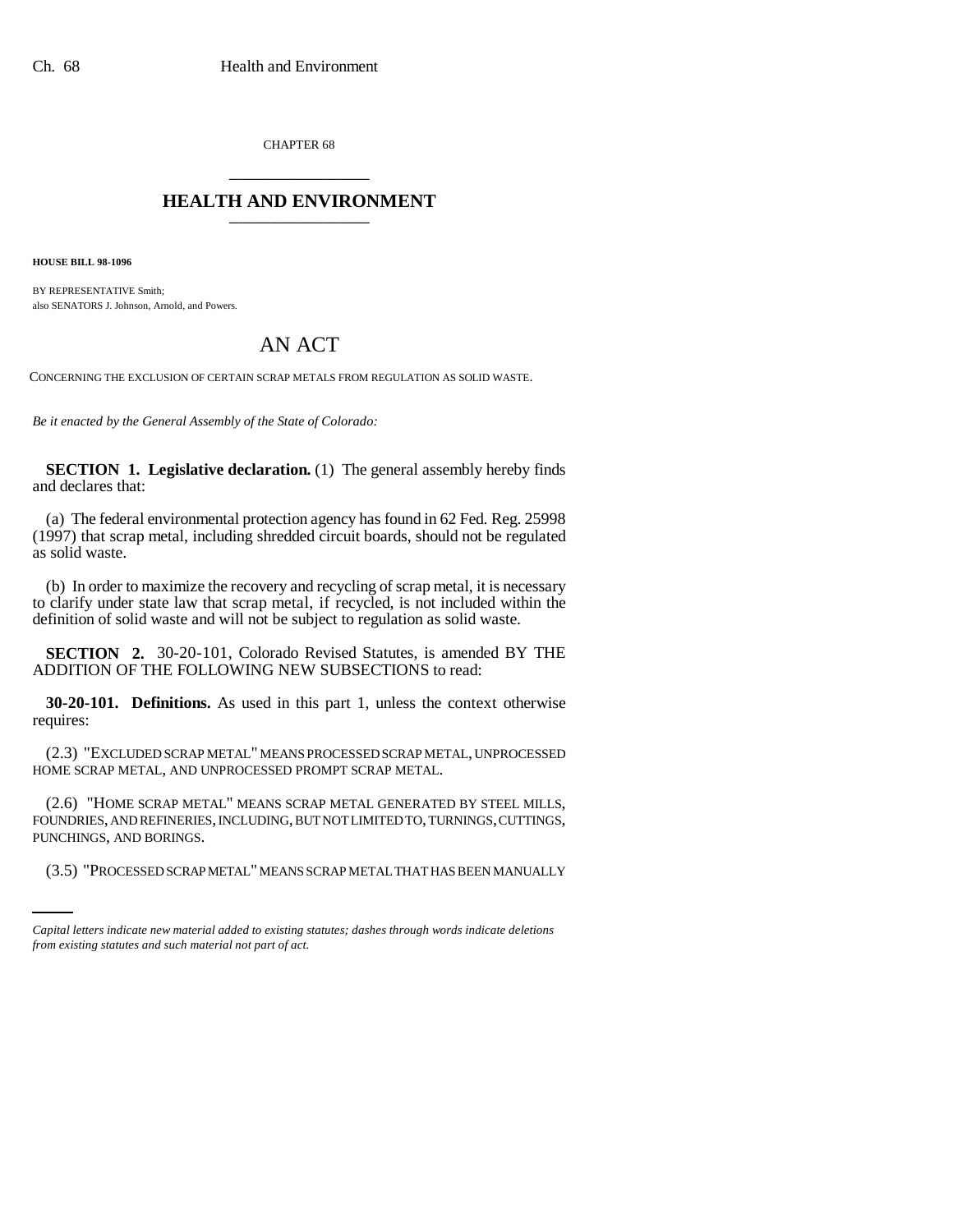CHAPTER 68 \_\_\_\_\_\_\_\_\_\_\_\_\_\_\_

## **HEALTH AND ENVIRONMENT** \_\_\_\_\_\_\_\_\_\_\_\_\_\_\_

**HOUSE BILL 98-1096**

BY REPRESENTATIVE Smith; also SENATORS J. Johnson, Arnold, and Powers.

## AN ACT

CONCERNING THE EXCLUSION OF CERTAIN SCRAP METALS FROM REGULATION AS SOLID WASTE.

*Be it enacted by the General Assembly of the State of Colorado:*

**SECTION 1. Legislative declaration.** (1) The general assembly hereby finds and declares that:

(a) The federal environmental protection agency has found in 62 Fed. Reg. 25998 (1997) that scrap metal, including shredded circuit boards, should not be regulated as solid waste.

(b) In order to maximize the recovery and recycling of scrap metal, it is necessary to clarify under state law that scrap metal, if recycled, is not included within the definition of solid waste and will not be subject to regulation as solid waste.

**SECTION 2.** 30-20-101, Colorado Revised Statutes, is amended BY THE ADDITION OF THE FOLLOWING NEW SUBSECTIONS to read:

**30-20-101. Definitions.** As used in this part 1, unless the context otherwise requires:

(2.3) "EXCLUDED SCRAP METAL" MEANS PROCESSED SCRAP METAL, UNPROCESSED HOME SCRAP METAL, AND UNPROCESSED PROMPT SCRAP METAL.

PUNCHINGS, AND BORINGS. (2.6) "HOME SCRAP METAL" MEANS SCRAP METAL GENERATED BY STEEL MILLS, FOUNDRIES, AND REFINERIES, INCLUDING, BUT NOT LIMITED TO, TURNINGS, CUTTINGS,

(3.5) "PROCESSED SCRAP METAL" MEANS SCRAP METAL THAT HAS BEEN MANUALLY

*Capital letters indicate new material added to existing statutes; dashes through words indicate deletions from existing statutes and such material not part of act.*